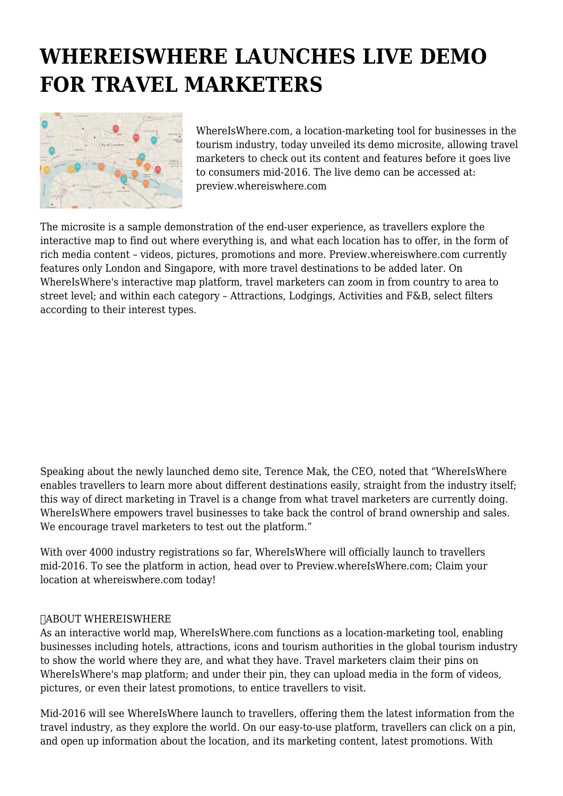## **WHEREISWHERE LAUNCHES LIVE DEMO FOR TRAVEL MARKETERS**



WhereIsWhere.com, a location-marketing tool for businesses in the tourism industry, today unveiled its demo microsite, allowing travel marketers to check out its content and features before it goes live to consumers mid-2016. The live demo can be accessed at: preview.whereiswhere.com

The microsite is a sample demonstration of the end-user experience, as travellers explore the interactive map to find out where everything is, and what each location has to offer, in the form of rich media content – videos, pictures, promotions and more. Preview.whereiswhere.com currently features only London and Singapore, with more travel destinations to be added later. On WhereIsWhere's interactive map platform, travel marketers can zoom in from country to area to street level; and within each category – Attractions, Lodgings, Activities and F&B, select filters according to their interest types.

Speaking about the newly launched demo site, Terence Mak, the CEO, noted that "WhereIsWhere enables travellers to learn more about different destinations easily, straight from the industry itself; this way of direct marketing in Travel is a change from what travel marketers are currently doing. WhereIsWhere empowers travel businesses to take back the control of brand ownership and sales. We encourage travel marketers to test out the platform."

With over 4000 industry registrations so far, WhereIsWhere will officially launch to travellers mid-2016. To see the platform in action, head over to Preview.whereIsWhere.com; Claim your location at whereiswhere.com today!

## ABOUT WHEREISWHERE

As an interactive world map, WhereIsWhere.com functions as a location-marketing tool, enabling businesses including hotels, attractions, icons and tourism authorities in the global tourism industry to show the world where they are, and what they have. Travel marketers claim their pins on WhereIsWhere's map platform; and under their pin, they can upload media in the form of videos, pictures, or even their latest promotions, to entice travellers to visit.

Mid-2016 will see WhereIsWhere launch to travellers, offering them the latest information from the travel industry, as they explore the world. On our easy-to-use platform, travellers can click on a pin, and open up information about the location, and its marketing content, latest promotions. With